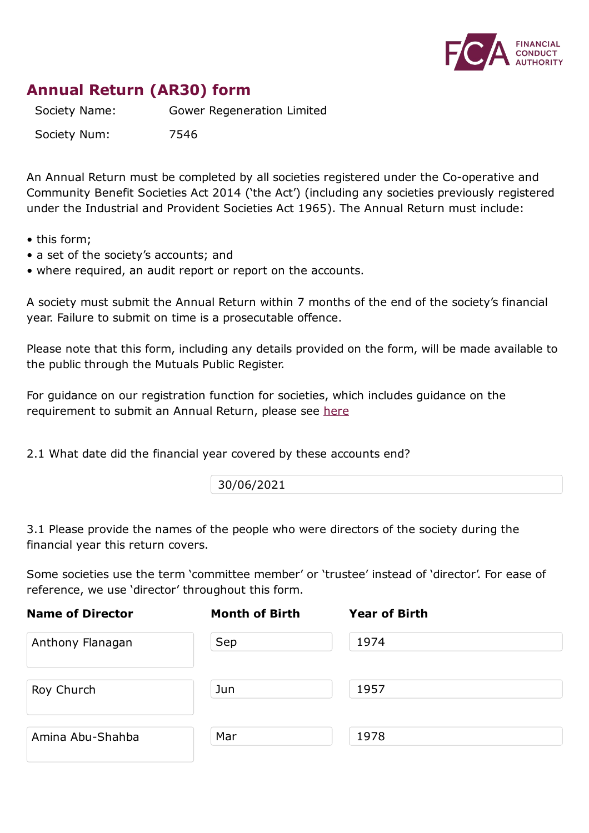

## **Annual Return (AR30) form**

Society Name: Gower Regeneration Limited

Society Num: 7546

An Annual Return must be completed by all societies registered under the Co-operative and Community Benefit Societies Act 2014 ('the Act') (including any societies previously registered under the Industrial and Provident Societies Act 1965). The Annual Return must include:

- this form;
- a set of the society's accounts; and
- where required, an audit report or report on the accounts.

A society must submit the Annual Return within 7 months of the end of the society's financial year. Failure to submit on time is a prosecutable offence.

Please note that this form, including any details provided on the form, will be made available to the public through the Mutuals Public Register.

For guidance on our registration function for societies, which includes guidance on the requirement to submit an Annual Return, please see here

2.1 What date did the financial year covered by these [acco](https://www.fca.org.uk/publication/finalised-guidance/fg15-12.pdf)unts end?

30/06/2021

3.1 Please provide the names of the people who were directors of the society during the financial year this return covers.

Some societies use the term 'committee member' or 'trustee' instead of 'director'. For ease of reference, we use 'director' throughout this form.

| <b>Name of Director</b> | <b>Month of Birth</b> | <b>Year of Birth</b> |  |
|-------------------------|-----------------------|----------------------|--|
| Anthony Flanagan        | Sep                   | 1974                 |  |
| Roy Church              | Jun                   | 1957                 |  |
| Amina Abu-Shahba        | Mar                   | 1978                 |  |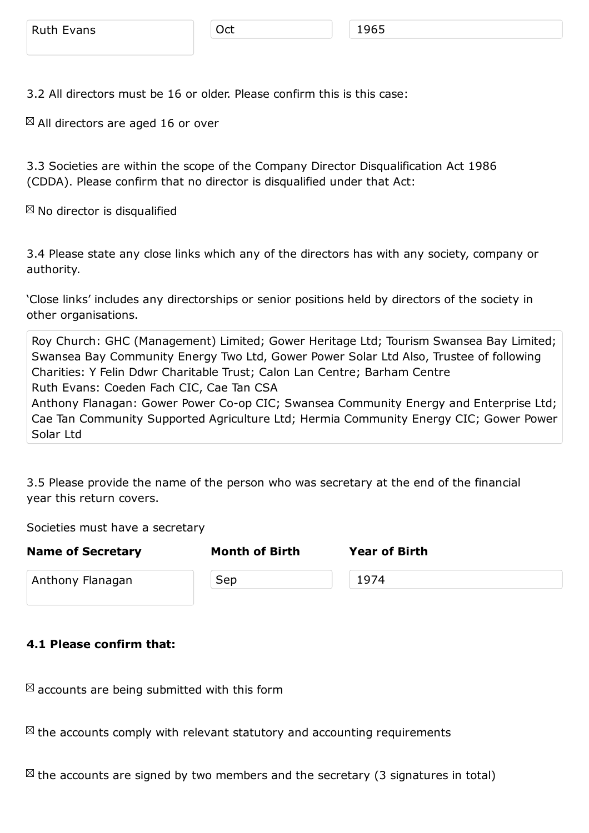3.2 All directors must be 16 or older. Please confirm this is this case:

 $\boxtimes$  All directors are aged 16 or over

3.3 Societies are within the scope of the Company Director Disqualification Act 1986 (CDDA). Please confirm that no director is disqualified under that Act:

 $\boxtimes$  No director is disqualified

3.4 Please state any close links which any of the directors has with any society, company or authority.

'Close links' includes any directorships or senior positions held by directors of the society in other organisations.

Roy Church: GHC (Management) Limited; Gower Heritage Ltd; Tourism Swansea Bay Limited; Swansea Bay Community Energy Two Ltd, Gower Power Solar Ltd Also, Trustee of following Charities: Y Felin Ddwr Charitable Trust; Calon Lan Centre; Barham Centre Ruth Evans: Coeden Fach CIC, Cae Tan CSA Anthony Flanagan: Gower Power Co-op CIC; Swansea Community Energy and Enterprise Ltd; Cae Tan Community Supported Agriculture Ltd; Hermia Community Energy CIC; Gower Power Solar Ltd

3.5 Please provide the name of the person who was secretary at the end of the financial year this return covers.

Societies must have a secretary

| <b>Name of Secretary</b> | <b>Month of Birth</b> | <b>Year of Birth</b> |
|--------------------------|-----------------------|----------------------|
| Anthony Flanagan         | Sep                   | 1974                 |

## **4.1 Please confirm that:**

 $\boxtimes$  accounts are being submitted with this form

 $\boxtimes$  the accounts comply with relevant statutory and accounting requirements

 $\boxtimes$  the accounts are signed by two members and the secretary (3 signatures in total)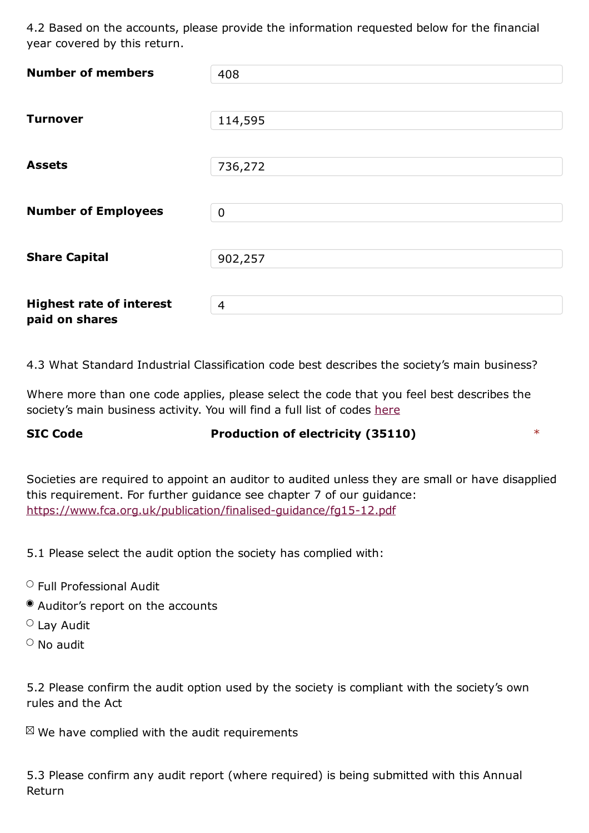| <b>Number of members</b>        | 408            |
|---------------------------------|----------------|
|                                 |                |
| <b>Turnover</b>                 | 114,595        |
|                                 |                |
| <b>Assets</b>                   | 736,272        |
|                                 |                |
| <b>Number of Employees</b>      | $\mathbf 0$    |
|                                 |                |
| <b>Share Capital</b>            | 902,257        |
|                                 |                |
| <b>Highest rate of interest</b> | $\overline{4}$ |
| paid on shares                  |                |

4.3 What Standard Industrial Classification code best describes the society's main business?

Where more than one code applies, please select the code that you feel best describes the society's main business activity. You will find a full list of codes here

## **SIC Code Production of electricity (35110)** \*

Societies are required to appoint an auditor to audited unless they are small or have disapplied this requirement. For further guidance see chapter 7 of our guidance: https://www.fca.org.uk/publication/finalised-guidance/fg15-12.pdf

5.1 Please select the audit option the society has [complied](https://www.fca.org.uk/publication/finalised-guidance/fg15-12.pdf) with:

- $\circ$  Full Professional Audit
- Auditor's report on the accounts
- $\circ$  Lay Audit
- $\circ$  No audit

5.2 Please confirm the audit option used by the society is compliant with the society's own rules and the Act

 $\mathbb{Z}$  We have complied with the audit requirements

5.3 Please confirm any audit report (where required) is being submitted with this Annual Return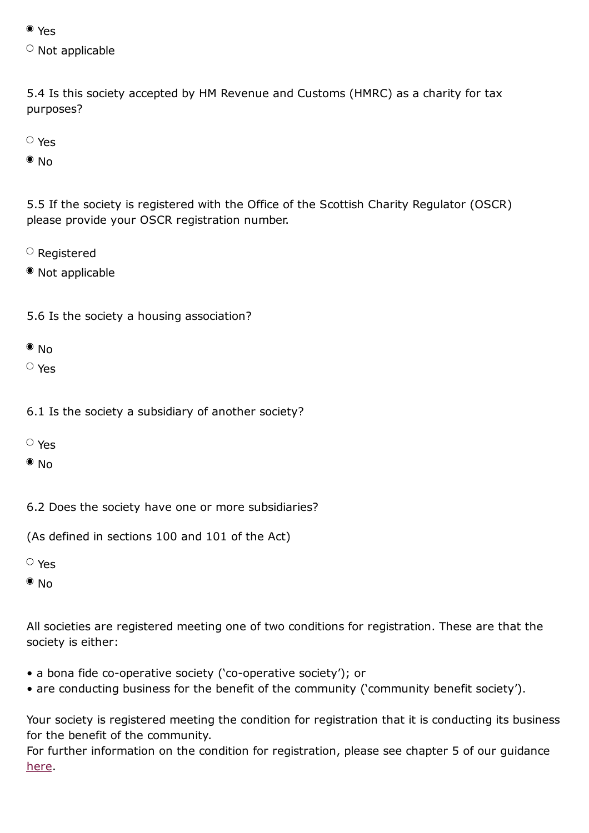$\sim$  Not applicable

5.4 Is this society accepted by HM Revenue and Customs (HMRC) as a charity for tax purposes?

Yes

 $\bullet$  No

5.5 If the society is registered with the Office of the Scottish Charity Regulator (OSCR) please provide your OSCR registration number.

- $\circ$  Registered
- Not applicable
- 5.6 Is the society a housing association?

 $\bullet$  No

Yes

- 6.1 Is the society a subsidiary of another society?
- Yes

 $\bullet$  No

6.2 Does the society have one or more subsidiaries?

(As defined in sections 100 and 101 of the Act)

Yes

 $\bullet$  No

All societies are registered meeting one of two conditions for registration. These are that the society is either:

- a bona fide co-operative society ('co-operative society'); or
- are conducting business for the benefit of the community ('community benefit society').

Your society is registered meeting the condition for registration that it is conducting its business for the benefit of the community.

For further information on the condition for registration, please see chapter 5 of our guidance here.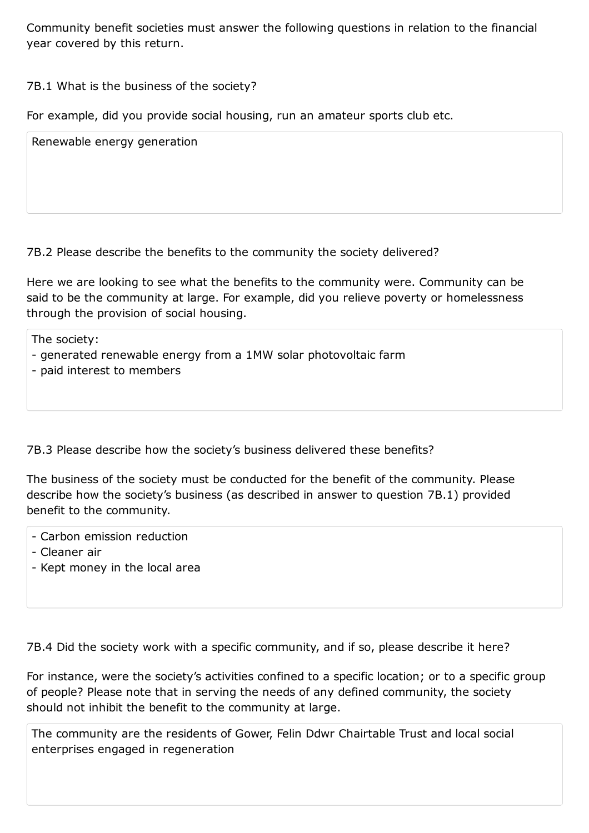## 7B.1 What is the business of the society?

For example, did you provide social housing, run an amateur sports club etc.

Renewable energy generation

7B.2 Please describe the benefits to the community the society delivered?

Here we are looking to see what the benefits to the community were. Community can be said to be the community at large. For example, did you relieve poverty or homelessness through the provision of social housing.

The society:

- generated renewable energy from a 1MW solar photovoltaic farm
- paid interest to members

7B.3 Please describe how the society's business delivered these benefits?

The business of the society must be conducted for the benefit of the community. Please describe how the society's business (as described in answer to question 7B.1) provided benefit to the community.

- Carbon emission reduction
- Cleaner air
- Kept money in the local area

7B.4 Did the society work with a specific community, and if so, please describe it here?

For instance, were the society's activities confined to a specific location; or to a specific group of people? Please note that in serving the needs of any defined community, the society should not inhibit the benefit to the community at large.

The community are the residents of Gower, Felin Ddwr Chairtable Trust and local social enterprises engaged in regeneration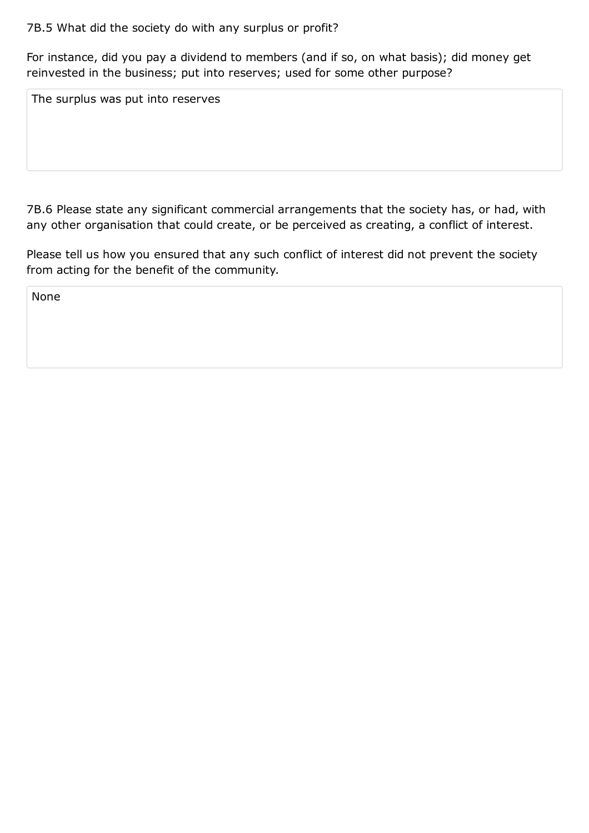For instance, did you pay a dividend to members (and if so, on what basis); did money get reinvested in the business; put into reserves; used for some other purpose?

The surplus was put into reserves

7B.6 Please state any significant commercial arrangements that the society has, or had, with any other organisation that could create, or be perceived as creating, a conflict of interest.

Please tell us how you ensured that any such conflict of interest did not prevent the society from acting for the benefit of the community.

None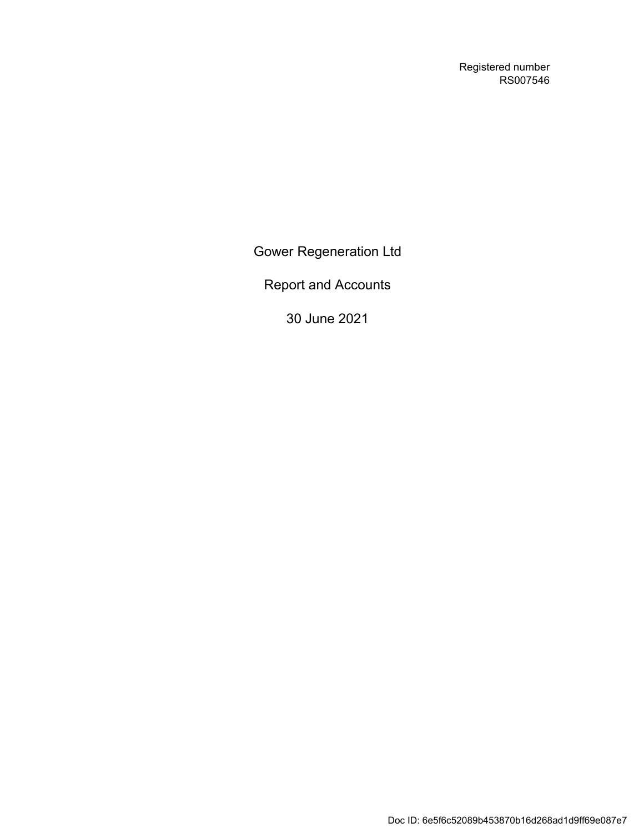Registered number RS007546

Gower Regeneration Ltd

Report and Accounts

30 June 2021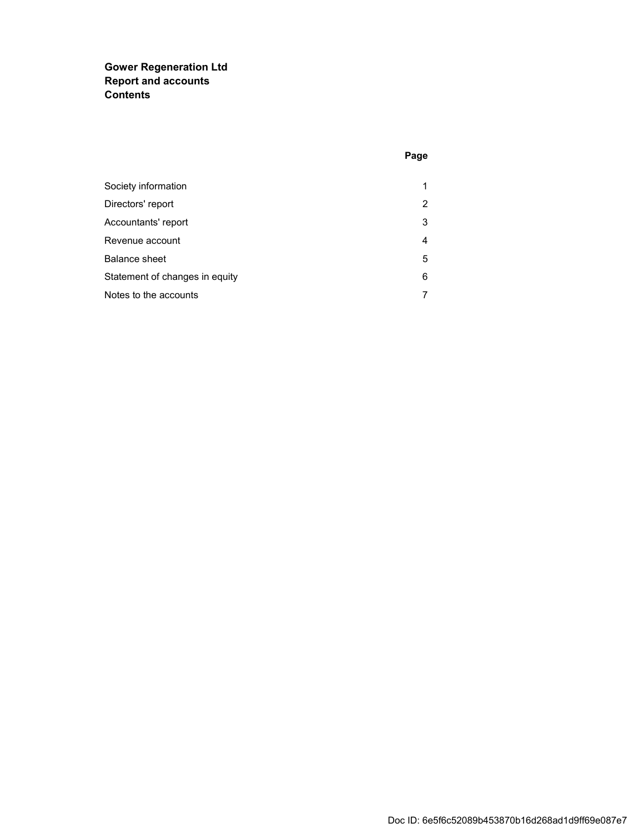### **Gower Regeneration Ltd Report and accounts Contents**

| Society information            | 1 |
|--------------------------------|---|
| Directors' report              | 2 |
| Accountants' report            | 3 |
| Revenue account                | 4 |
| Balance sheet                  | 5 |
| Statement of changes in equity | 6 |
| Notes to the accounts          | 7 |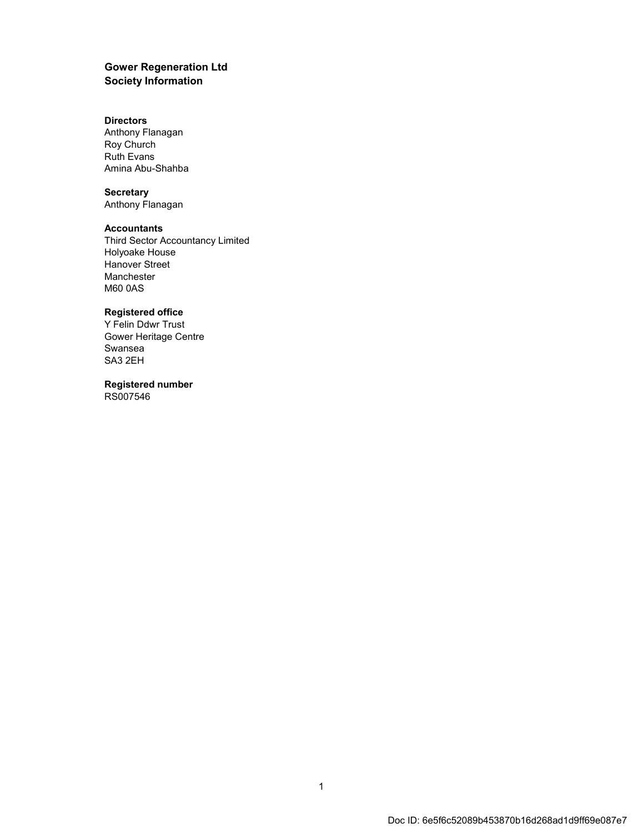#### **Gower Regeneration Ltd Society Information**

#### **Directors**

Anthony Flanagan Roy Church Ruth Evans Amina Abu-Shahba

#### **Secretary**

Anthony Flanagan

#### **Accountants**

Third Sector Accountancy Limited Holyoake House Hanover Street Manchester M60 0AS

#### **Registered office**

Y Felin Ddwr Trust Gower Heritage Centre Swansea SA3 2EH

**Registered number** RS007546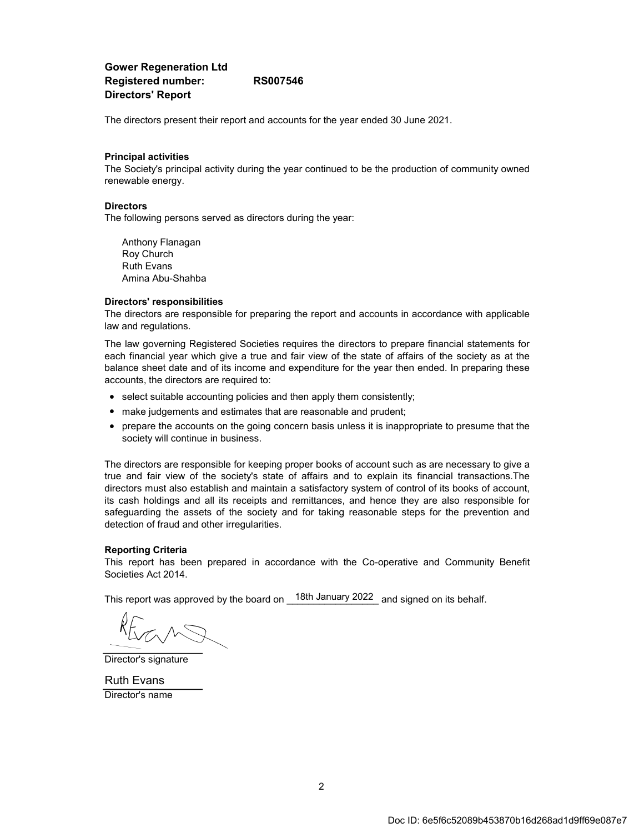#### **Gower Regeneration Ltd Registered number: RS007546 Directors' Report**

The directors present their report and accounts for the year ended 30 June 2021.

#### **Principal activities**

The Society's principal activity during the year continued to be the production of community owned renewable energy.

#### **Directors**

The following persons served as directors during the year:

Anthony Flanagan Roy Church Ruth Evans Amina Abu-Shahba

#### **Directors' responsibilities**

The directors are responsible for preparing the report and accounts in accordance with applicable law and regulations.

The law governing Registered Societies requires the directors to prepare financial statements for each financial year which give a true and fair view of the state of affairs of the society as at the balance sheet date and of its income and expenditure for the year then ended. In preparing these accounts, the directors are required to:

- select suitable accounting policies and then apply them consistently;
- make judgements and estimates that are reasonable and prudent;
- prepare the accounts on the going concern basis unless it is inappropriate to presume that the society will continue in business.

The directors are responsible for keeping proper books of account such as are necessary to give a true and fair view of the society's state of affairs and to explain its financial transactions.The directors must also establish and maintain a satisfactory system of control of its books of account, its cash holdings and all its receipts and remittances, and hence they are also responsible for safeguarding the assets of the society and for taking reasonable steps for the prevention and detection of fraud and other irregularities.

#### **Reporting Criteria**

This report has been prepared in accordance with the Co-operative and Community Benefit Societies Act 2014.

This report was approved by the board on  $\_$  18th January 2022  $\_$  and signed on its behalf.

Director's signature

Director's name Ruth Evans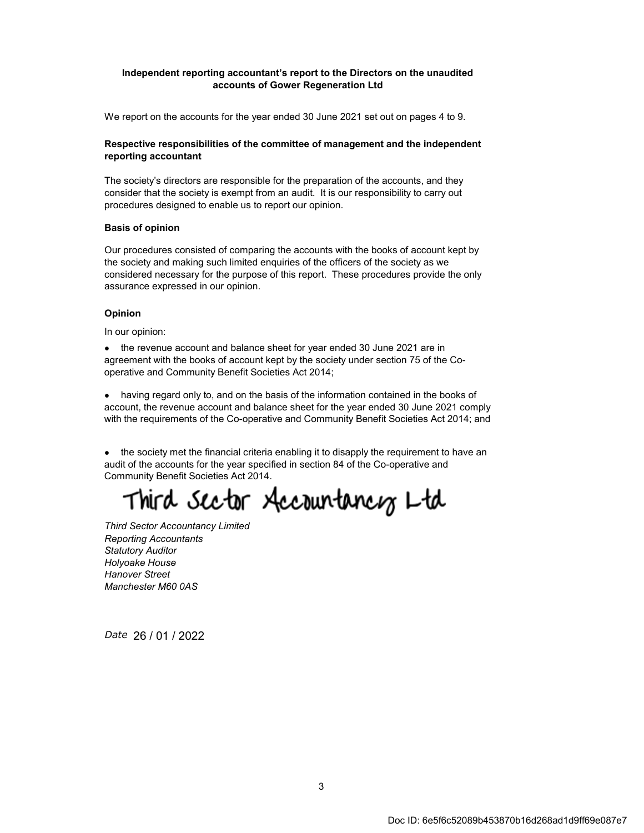#### **Independent reporting accountant's report to the Directors on the unaudited accounts of Gower Regeneration Ltd**

We report on the accounts for the year ended 30 June 2021 set out on pages 4 to 9.

#### **Respective responsibilities of the committee of management and the independent reporting accountant**

The society's directors are responsible for the preparation of the accounts, and they consider that the society is exempt from an audit. It is our responsibility to carry out procedures designed to enable us to report our opinion.

#### **Basis of opinion**

Our procedures consisted of comparing the accounts with the books of account kept by the society and making such limited enquiries of the officers of the society as we considered necessary for the purpose of this report. These procedures provide the only assurance expressed in our opinion.

#### **Opinion**

In our opinion:

● the revenue account and balance sheet for year ended 30 June 2021 are in agreement with the books of account kept by the society under section 75 of the Cooperative and Community Benefit Societies Act 2014;

• having regard only to, and on the basis of the information contained in the books of account, the revenue account and balance sheet for the year ended 30 June 2021 comply with the requirements of the Co-operative and Community Benefit Societies Act 2014; and

• the society met the financial criteria enabling it to disapply the requirement to have an audit of the accounts for the year specified in section 84 of the Co-operative and Community Benefit Societies Act 2014.

Third Sector Accountancy Ltd

*Reporting Accountants Statutory Auditor Holyoake House Hanover Street Manchester M60 0AS Third Sector Accountancy Limited*

*Date*  26 / 01 / 2022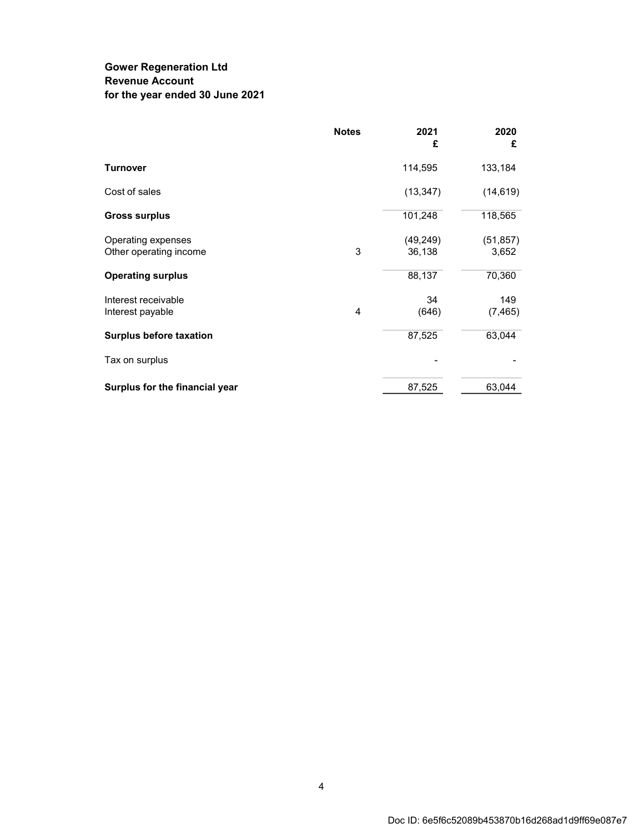## **Gower Regeneration Ltd Revenue Account for the year ended 30 June 2021**

|                                | <b>Notes</b> | 2021<br>£ | 2020<br>£ |
|--------------------------------|--------------|-----------|-----------|
| <b>Turnover</b>                |              | 114,595   | 133,184   |
| Cost of sales                  |              | (13, 347) | (14, 619) |
| <b>Gross surplus</b>           |              | 101,248   | 118,565   |
| Operating expenses             |              | (49, 249) | (51, 857) |
| Other operating income         | 3            | 36,138    | 3,652     |
| <b>Operating surplus</b>       |              | 88,137    | 70,360    |
| Interest receivable            |              | 34        | 149       |
| Interest payable               | 4            | (646)     | (7, 465)  |
| <b>Surplus before taxation</b> |              | 87,525    | 63,044    |
| Tax on surplus                 |              |           |           |
| Surplus for the financial year |              | 87,525    | 63,044    |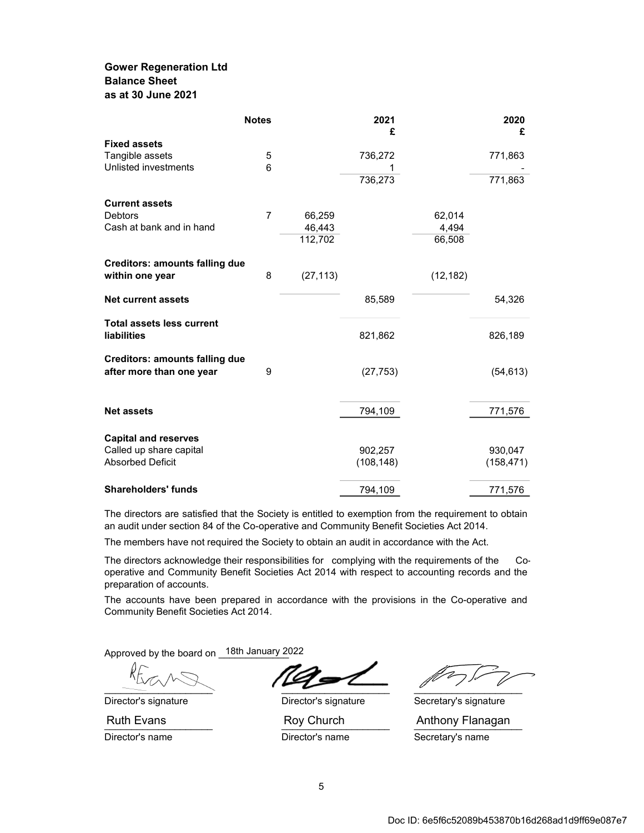### **Gower Regeneration Ltd Balance Sheet as at 30 June 2021**

|                                                                                   | <b>Notes</b>   |           | 2021<br>£             |           | 2020<br>£             |
|-----------------------------------------------------------------------------------|----------------|-----------|-----------------------|-----------|-----------------------|
| <b>Fixed assets</b>                                                               |                |           |                       |           |                       |
| Tangible assets                                                                   | 5              |           | 736,272               |           | 771,863               |
| Unlisted investments                                                              | 6              |           | 1                     |           |                       |
|                                                                                   |                |           | 736,273               |           | 771,863               |
| <b>Current assets</b>                                                             |                |           |                       |           |                       |
| <b>Debtors</b>                                                                    | $\overline{7}$ | 66,259    |                       | 62,014    |                       |
| Cash at bank and in hand                                                          |                | 46,443    |                       | 4,494     |                       |
|                                                                                   |                | 112,702   |                       | 66,508    |                       |
| <b>Creditors: amounts falling due</b>                                             |                |           |                       |           |                       |
| within one year                                                                   | 8              | (27, 113) |                       | (12, 182) |                       |
| <b>Net current assets</b>                                                         |                |           | 85,589                |           | 54,326                |
| <b>Total assets less current</b><br>liabilities                                   |                |           | 821,862               |           | 826,189               |
| <b>Creditors: amounts falling due</b><br>after more than one year                 | 9              |           | (27, 753)             |           | (54, 613)             |
| <b>Net assets</b>                                                                 |                |           | 794,109               |           | 771,576               |
| <b>Capital and reserves</b><br>Called up share capital<br><b>Absorbed Deficit</b> |                |           | 902,257<br>(108, 148) |           | 930,047<br>(158, 471) |
| <b>Shareholders' funds</b>                                                        |                |           | 794,109               |           | 771,576               |

The directors are satisfied that the Society is entitled to exemption from the requirement to obtain an audit under section 84 of the Co-operative and Community Benefit Societies Act 2014.

The members have not required the Society to obtain an audit in accordance with the Act.

The directors acknowledge their responsibilities for complying with the requirements of the Cooperative and Community Benefit Societies Act 2014 with respect to accounting records and the preparation of accounts.

The accounts have been prepared in accordance with the provisions in the Co-operative and Community Benefit Societies Act 2014.

Approved by the board on \_18th January 2022

 $\overline{\phantom{a}}$ 

Director's signature **Director's signature** Secretary's signature Director's name Theory of Director's name Secretary's name

Ruth Evans **Roy Church** Anthony Flanagan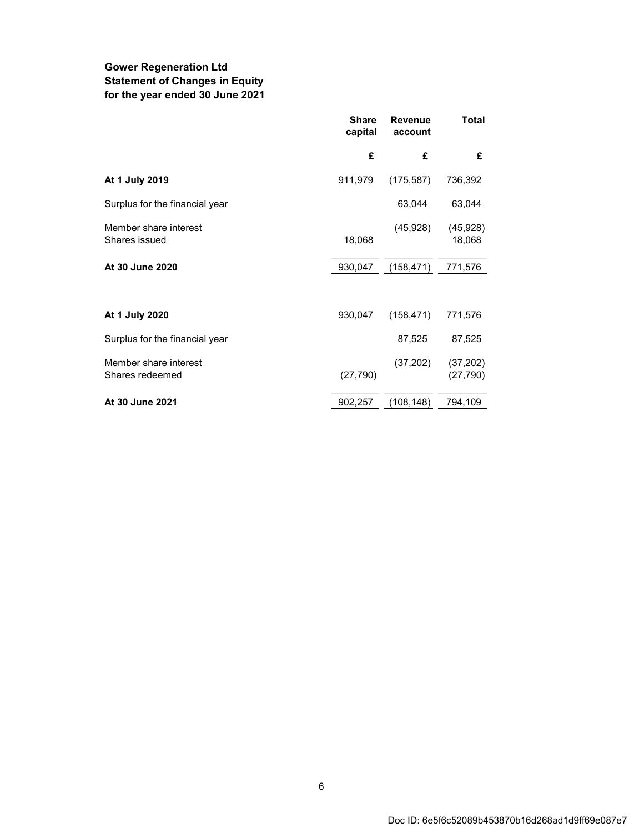## **Gower Regeneration Ltd Statement of Changes in Equity for the year ended 30 June 2021**

|                                          | <b>Share</b><br>capital | <b>Revenue</b><br>account | <b>Total</b>           |
|------------------------------------------|-------------------------|---------------------------|------------------------|
|                                          | £                       | £                         | £                      |
| At 1 July 2019                           | 911,979                 | (175, 587)                | 736,392                |
| Surplus for the financial year           |                         | 63,044                    | 63,044                 |
| Member share interest<br>Shares issued   | 18,068                  | (45, 928)                 | (45, 928)<br>18,068    |
| At 30 June 2020                          | 930,047                 | (158, 471)                | 771,576                |
|                                          |                         |                           |                        |
| At 1 July 2020                           | 930,047                 | (158, 471)                | 771,576                |
| Surplus for the financial year           |                         | 87,525                    | 87,525                 |
| Member share interest<br>Shares redeemed | (27, 790)               | (37,202)                  | (37, 202)<br>(27, 790) |
| At 30 June 2021                          | 902,257                 | (108,148)                 | 794,109                |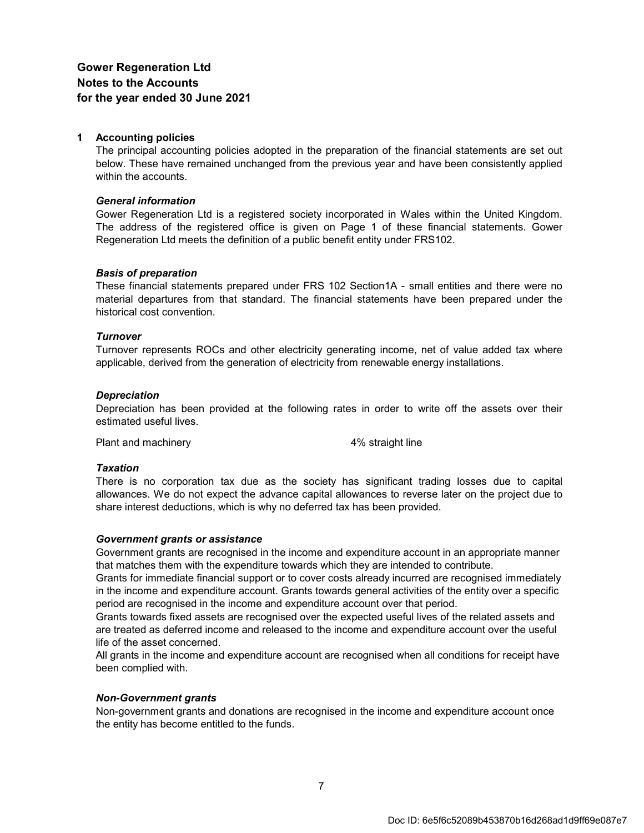#### **1 Accounting policies**

The principal accounting policies adopted in the preparation of the financial statements are set out below. These have remained unchanged from the previous year and have been consistently applied within the accounts.

#### *General information*

Gower Regeneration Ltd is a registered society incorporated in Wales within the United Kingdom. The address of the registered office is given on Page 1 of these financial statements. Gower Regeneration Ltd meets the definition of a public benefit entity under FRS102.

#### *Basis of preparation*

These financial statements prepared under FRS 102 Section1A - small entities and there were no material departures from that standard. The financial statements have been prepared under the historical cost convention.

#### *Turnover*

Turnover represents ROCs and other electricity generating income, net of value added tax where applicable, derived from the generation of electricity from renewable energy installations.

#### *Depreciation*

Depreciation has been provided at the following rates in order to write off the assets over their estimated useful lives.

Plant and machinery and the straight line

#### *Taxation*

There is no corporation tax due as the society has significant trading losses due to capital allowances. We do not expect the advance capital allowances to reverse later on the project due to share interest deductions, which is why no deferred tax has been provided.

#### *Government grants or assistance*

Government grants are recognised in the income and expenditure account in an appropriate manner that matches them with the expenditure towards which they are intended to contribute.

Grants for immediate financial support or to cover costs already incurred are recognised immediately in the income and expenditure account. Grants towards general activities of the entity over a specific period are recognised in the income and expenditure account over that period.

Grants towards fixed assets are recognised over the expected useful lives of the related assets and are treated as deferred income and released to the income and expenditure account over the useful life of the asset concerned.

All grants in the income and expenditure account are recognised when all conditions for receipt have been complied with.

#### *Non-Government grants*

Non-government grants and donations are recognised in the income and expenditure account once the entity has become entitled to the funds.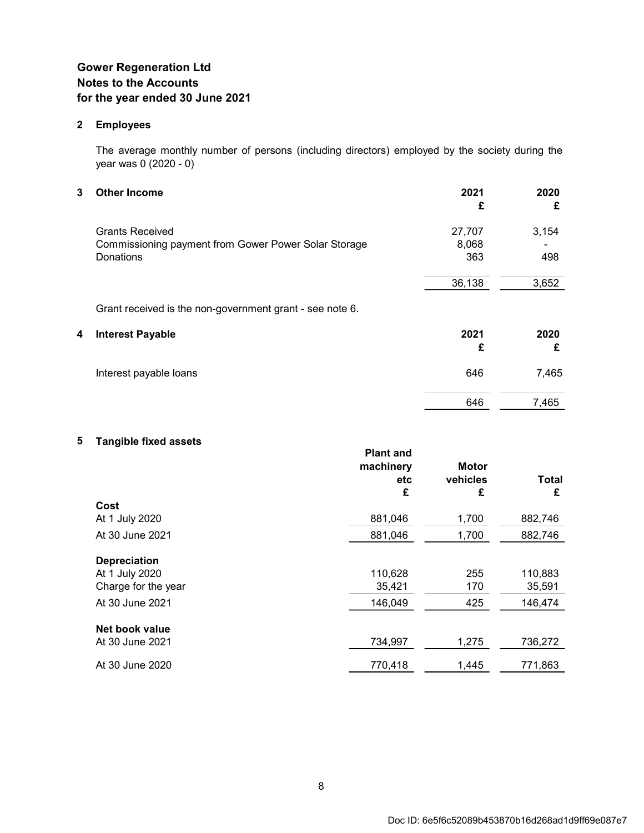#### **2 Employees**

The average monthly number of persons (including directors) employed by the society during the year was 0 (2020 - 0)

| 3 | <b>Other Income</b>                                      | 2021<br>£ | 2020<br>£ |
|---|----------------------------------------------------------|-----------|-----------|
|   | <b>Grants Received</b>                                   | 27,707    | 3,154     |
|   | Commissioning payment from Gower Power Solar Storage     | 8,068     |           |
|   | Donations                                                | 363       | 498       |
|   |                                                          | 36,138    | 3,652     |
|   | Grant received is the non-government grant - see note 6. |           |           |
| 4 | <b>Interest Payable</b>                                  | 2021      | 2020      |
|   |                                                          | £         | £         |
|   | Interest payable loans                                   | 646       | 7,465     |
|   |                                                          | 646       | 7,465     |

## **5 Tangible fixed assets**

|                     | <b>Plant and</b><br>machinery | <b>Motor</b> |         |
|---------------------|-------------------------------|--------------|---------|
|                     | etc                           | vehicles     | Total   |
|                     | £                             | £            | £       |
| Cost                |                               |              |         |
| At 1 July 2020      | 881,046                       | 1,700        | 882,746 |
| At 30 June 2021     | 881,046                       | 1,700        | 882,746 |
| <b>Depreciation</b> |                               |              |         |
| At 1 July 2020      | 110,628                       | 255          | 110,883 |
| Charge for the year | 35,421                        | 170          | 35,591  |
| At 30 June 2021     | 146,049                       | 425          | 146,474 |
| Net book value      |                               |              |         |
| At 30 June 2021     | 734,997                       | 1,275        | 736,272 |
| At 30 June 2020     | 770,418                       | 1,445        | 771,863 |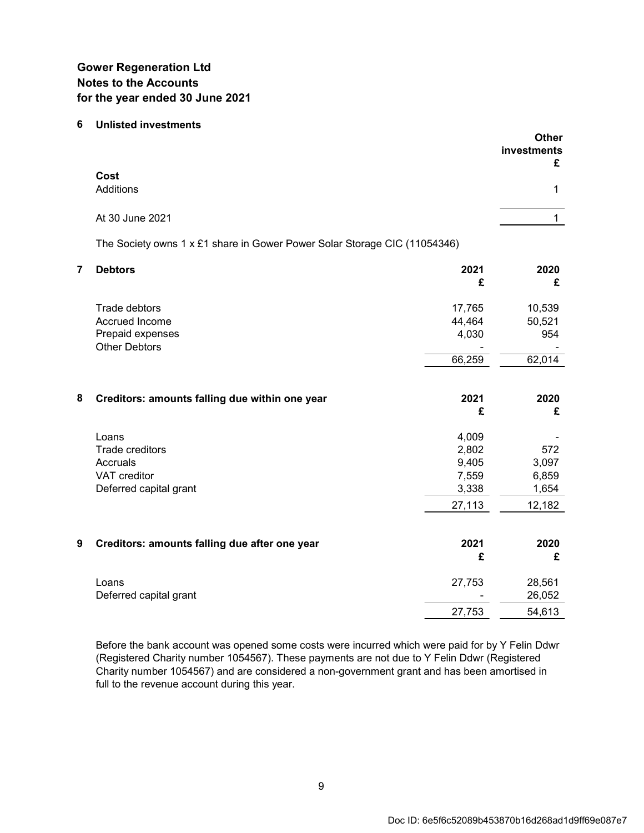#### **6 Unlisted investments**

|   |                                                                                |                                                     | <b>Other</b><br>investments<br>£         |
|---|--------------------------------------------------------------------------------|-----------------------------------------------------|------------------------------------------|
|   | Cost<br>Additions                                                              |                                                     | $\mathbf{1}$                             |
|   | At 30 June 2021                                                                |                                                     | $\mathbf{1}$                             |
|   | The Society owns 1 x £1 share in Gower Power Solar Storage CIC (11054346)      |                                                     |                                          |
| 7 | <b>Debtors</b>                                                                 | 2021<br>£                                           | 2020<br>£                                |
|   | Trade debtors<br>Accrued Income<br>Prepaid expenses<br><b>Other Debtors</b>    | 17,765<br>44,464<br>4,030<br>66,259                 | 10,539<br>50,521<br>954<br>62,014        |
| 8 | Creditors: amounts falling due within one year                                 | 2021<br>£                                           | 2020<br>£                                |
|   | Loans<br>Trade creditors<br>Accruals<br>VAT creditor<br>Deferred capital grant | 4,009<br>2,802<br>9,405<br>7,559<br>3,338<br>27,113 | 572<br>3,097<br>6,859<br>1,654<br>12,182 |
| 9 | Creditors: amounts falling due after one year                                  | 2021<br>£                                           | 2020<br>£                                |
|   | Loans<br>Deferred capital grant                                                | 27,753<br>27,753                                    | 28,561<br>26,052<br>54,613               |
|   |                                                                                |                                                     |                                          |

Before the bank account was opened some costs were incurred which were paid for by Y Felin Ddwr (Registered Charity number 1054567). These payments are not due to Y Felin Ddwr (Registered Charity number 1054567) and are considered a non-government grant and has been amortised in full to the revenue account during this year.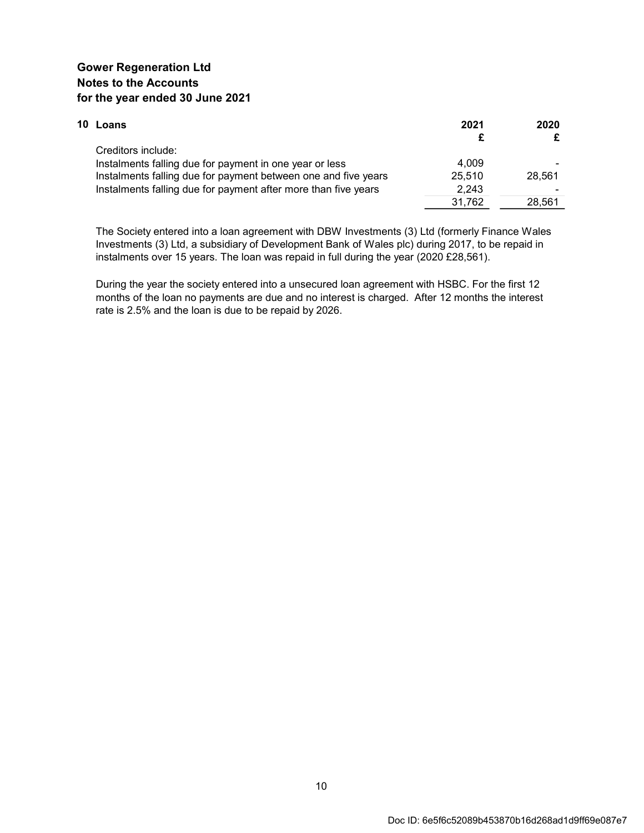| 10 Loans                                                       | 2021   | 2020   |
|----------------------------------------------------------------|--------|--------|
|                                                                |        |        |
| Creditors include:                                             |        |        |
| Instalments falling due for payment in one year or less        | 4.009  |        |
| Instalments falling due for payment between one and five years | 25.510 | 28.561 |
| Instalments falling due for payment after more than five years | 2.243  |        |
|                                                                | 31.762 | 28.561 |

The Society entered into a loan agreement with DBW Investments (3) Ltd (formerly Finance Wales Investments (3) Ltd, a subsidiary of Development Bank of Wales plc) during 2017, to be repaid in instalments over 15 years. The loan was repaid in full during the year (2020 £28,561).

During the year the society entered into a unsecured loan agreement with HSBC. For the first 12 months of the loan no payments are due and no interest is charged. After 12 months the interest rate is 2.5% and the loan is due to be repaid by 2026.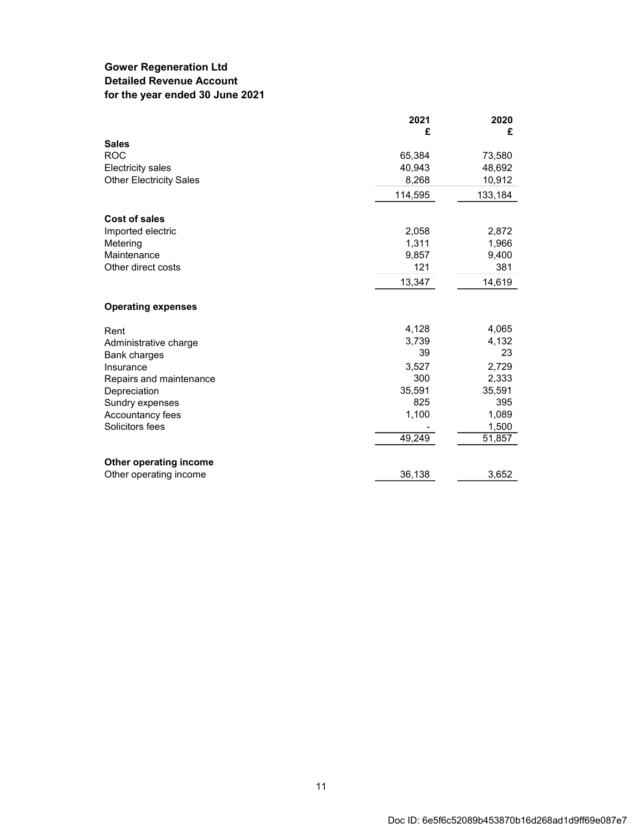## **Gower Regeneration Ltd Detailed Revenue Account for the year ended 30 June 2021**

|                                | 2021<br>£ | 2020<br>£ |
|--------------------------------|-----------|-----------|
| <b>Sales</b>                   |           |           |
| <b>ROC</b>                     | 65,384    | 73,580    |
| <b>Electricity sales</b>       | 40,943    | 48,692    |
| <b>Other Electricity Sales</b> | 8,268     | 10,912    |
|                                | 114,595   | 133,184   |
| <b>Cost of sales</b>           |           |           |
| Imported electric              | 2,058     | 2,872     |
| Metering                       | 1,311     | 1,966     |
| Maintenance                    | 9,857     | 9,400     |
| Other direct costs             | 121       | 381       |
|                                | 13,347    | 14,619    |
| <b>Operating expenses</b>      |           |           |
| Rent                           | 4,128     | 4,065     |
| Administrative charge          | 3,739     | 4,132     |
| <b>Bank charges</b>            | 39        | 23        |
| Insurance                      | 3,527     | 2,729     |
| Repairs and maintenance        | 300       | 2,333     |
| Depreciation                   | 35,591    | 35,591    |
| Sundry expenses                | 825       | 395       |
| Accountancy fees               | 1,100     | 1,089     |
| Solicitors fees                |           | 1,500     |
|                                | 49,249    | 51,857    |
| Other operating income         |           |           |
| Other operating income         | 36,138    | 3,652     |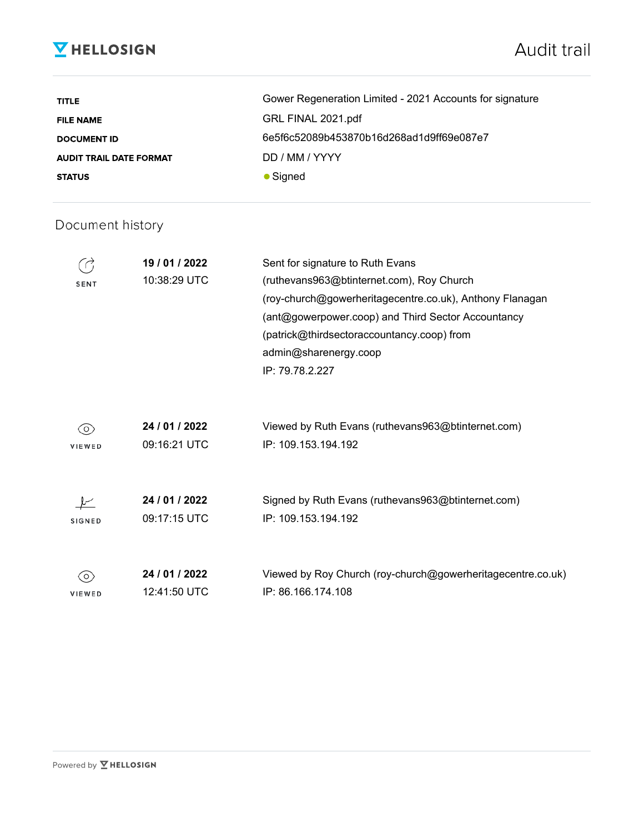# **V** HELLOSIGN

# Audit trail

| <b>TITLE</b>                   | Gower Regeneration Limited - 2021 Accounts for signature |
|--------------------------------|----------------------------------------------------------|
| <b>FILE NAME</b>               | GRL FINAL 2021.pdf                                       |
| <b>DOCUMENT ID</b>             | 6e5f6c52089b453870b16d268ad1d9ff69e087e7                 |
| <b>AUDIT TRAIL DATE FORMAT</b> | DD / MM / YYYY                                           |
| <b>STATUS</b>                  | $\bullet$ Signed                                         |

## Document history

| SENT          | 19 / 01 / 2022<br>10:38:29 UTC | Sent for signature to Ruth Evans<br>(ruthevans963@btinternet.com), Roy Church<br>(roy-church@gowerheritagecentre.co.uk), Anthony Flanagan<br>(ant@gowerpower.coop) and Third Sector Accountancy |
|---------------|--------------------------------|-------------------------------------------------------------------------------------------------------------------------------------------------------------------------------------------------|
|               |                                | (patrick@thirdsectoraccountancy.coop) from                                                                                                                                                      |
|               |                                | admin@sharenergy.coop                                                                                                                                                                           |
|               |                                | IP: 79.78.2.227                                                                                                                                                                                 |
|               |                                |                                                                                                                                                                                                 |
| O.            | 24 / 01 / 2022                 | Viewed by Ruth Evans (ruthevans963@btinternet.com)                                                                                                                                              |
| VIEWED        | 09:16:21 UTC                   | IP: 109.153.194.192                                                                                                                                                                             |
|               |                                |                                                                                                                                                                                                 |
|               | 24 / 01 / 2022                 | Signed by Ruth Evans (ruthevans963@btinternet.com)                                                                                                                                              |
| <b>SIGNED</b> | 09:17:15 UTC                   | IP: 109.153.194.192                                                                                                                                                                             |
|               |                                |                                                                                                                                                                                                 |
|               |                                |                                                                                                                                                                                                 |
| O.            | 24 / 01 / 2022                 | Viewed by Roy Church (roy-church@gowerheritagecentre.co.uk)<br>IP: 86.166.174.108                                                                                                               |
| <b>VIEWED</b> | 12:41:50 UTC                   |                                                                                                                                                                                                 |